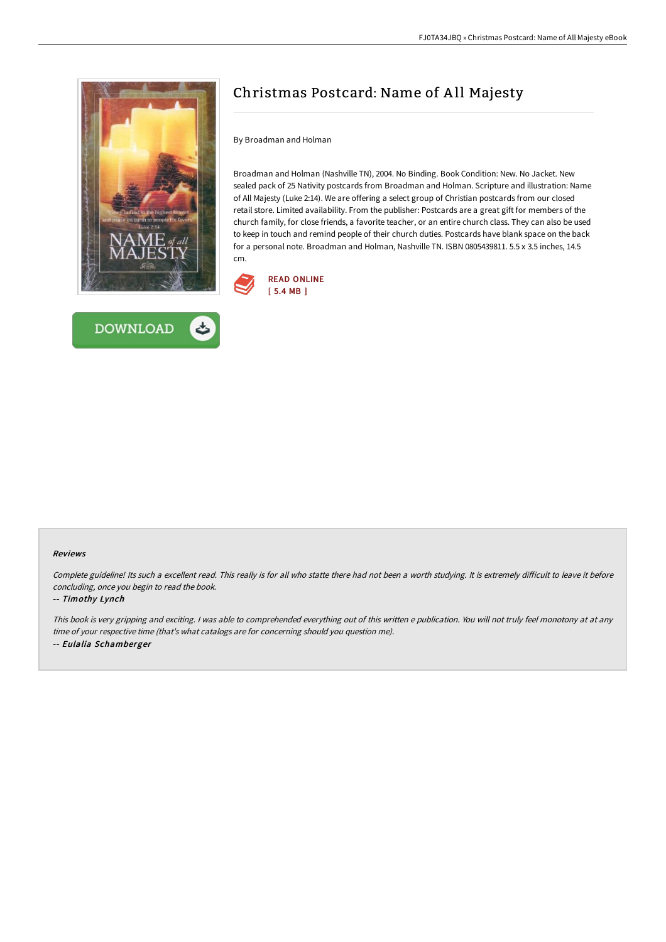



## Christmas Postcard: Name of A ll Majesty

By Broadman and Holman

Broadman and Holman (Nashville TN), 2004. No Binding. Book Condition: New. No Jacket. New sealed pack of 25 Nativity postcards from Broadman and Holman. Scripture and illustration: Name of All Majesty (Luke 2:14). We are offering a select group of Christian postcards from our closed retail store. Limited availability. From the publisher: Postcards are a great gift for members of the church family, for close friends, a favorite teacher, or an entire church class. They can also be used to keep in touch and remind people of their church duties. Postcards have blank space on the back for a personal note. Broadman and Holman, Nashville TN. ISBN 0805439811. 5.5 x 3.5 inches, 14.5 cm.



## Reviews

Complete guideline! Its such a excellent read. This really is for all who statte there had not been a worth studying. It is extremely difficult to leave it before concluding, once you begin to read the book.

## -- Timothy Lynch

This book is very gripping and exciting. <sup>I</sup> was able to comprehended everything out of this written <sup>e</sup> publication. You will not truly feel monotony at at any time of your respective time (that's what catalogs are for concerning should you question me). -- Eulalia Schamberger